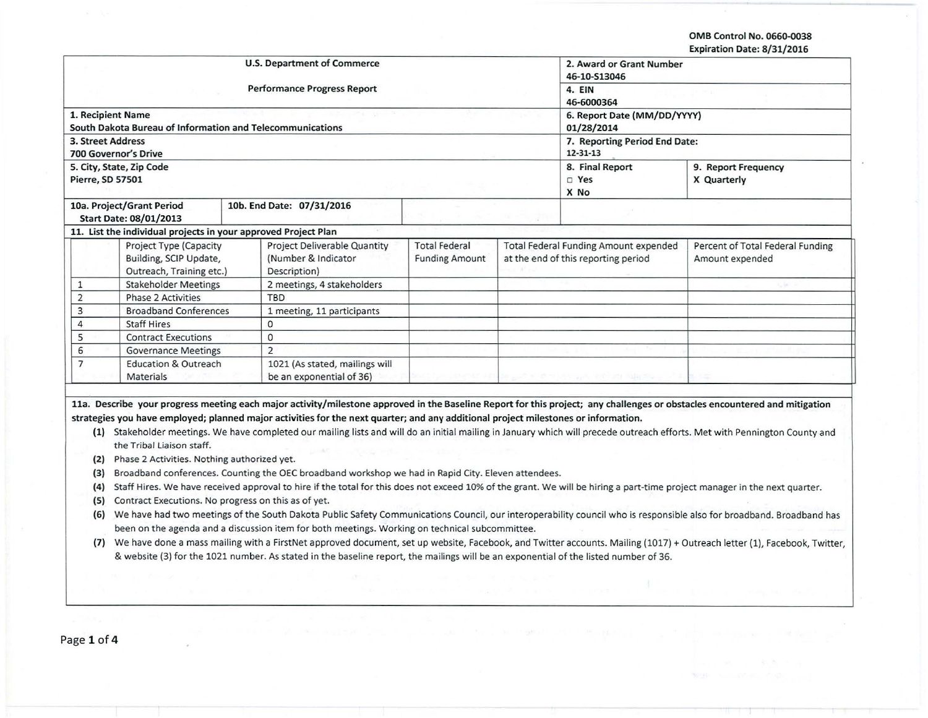OMB Control No. 0660-0038 Expiration Date: 8/31/2016

|                   |                                                                                                                                                                      |                                                                                                | <b>U.S. Department of Commerce</b>                                                                                                                                          |                       |                                      | 2. Award or Grant Number                     |                                                                                                                                                                                                                                                                                                                                                           |  |  |  |  |  |
|-------------------|----------------------------------------------------------------------------------------------------------------------------------------------------------------------|------------------------------------------------------------------------------------------------|-----------------------------------------------------------------------------------------------------------------------------------------------------------------------------|-----------------------|--------------------------------------|----------------------------------------------|-----------------------------------------------------------------------------------------------------------------------------------------------------------------------------------------------------------------------------------------------------------------------------------------------------------------------------------------------------------|--|--|--|--|--|
|                   |                                                                                                                                                                      |                                                                                                | <b>Performance Progress Report</b>                                                                                                                                          |                       | 46-10-S13046<br>4. EIN<br>46-6000364 |                                              |                                                                                                                                                                                                                                                                                                                                                           |  |  |  |  |  |
|                   |                                                                                                                                                                      |                                                                                                |                                                                                                                                                                             |                       |                                      |                                              |                                                                                                                                                                                                                                                                                                                                                           |  |  |  |  |  |
|                   | 1. Recipient Name                                                                                                                                                    |                                                                                                |                                                                                                                                                                             |                       | 6. Report Date (MM/DD/YYYY)          |                                              |                                                                                                                                                                                                                                                                                                                                                           |  |  |  |  |  |
|                   | South Dakota Bureau of Information and Telecommunications                                                                                                            |                                                                                                |                                                                                                                                                                             |                       |                                      | 01/28/2014                                   |                                                                                                                                                                                                                                                                                                                                                           |  |  |  |  |  |
| 3. Street Address |                                                                                                                                                                      |                                                                                                |                                                                                                                                                                             |                       |                                      | 7. Reporting Period End Date:                |                                                                                                                                                                                                                                                                                                                                                           |  |  |  |  |  |
|                   | <b>700 Governor's Drive</b>                                                                                                                                          |                                                                                                |                                                                                                                                                                             |                       |                                      | 12-31-13                                     |                                                                                                                                                                                                                                                                                                                                                           |  |  |  |  |  |
|                   | 5. City, State, Zip Code                                                                                                                                             |                                                                                                |                                                                                                                                                                             |                       |                                      | 8. Final Report                              | 9. Report Frequency                                                                                                                                                                                                                                                                                                                                       |  |  |  |  |  |
| Pierre, SD 57501  |                                                                                                                                                                      |                                                                                                |                                                                                                                                                                             |                       |                                      | D Yes<br>X No                                | X Quarterly                                                                                                                                                                                                                                                                                                                                               |  |  |  |  |  |
|                   | 10a. Project/Grant Period                                                                                                                                            |                                                                                                | 10b. End Date: 07/31/2016                                                                                                                                                   |                       |                                      |                                              |                                                                                                                                                                                                                                                                                                                                                           |  |  |  |  |  |
|                   | Start Date: 08/01/2013                                                                                                                                               |                                                                                                |                                                                                                                                                                             |                       |                                      |                                              |                                                                                                                                                                                                                                                                                                                                                           |  |  |  |  |  |
|                   | 11. List the individual projects in your approved Project Plan                                                                                                       |                                                                                                |                                                                                                                                                                             |                       |                                      |                                              |                                                                                                                                                                                                                                                                                                                                                           |  |  |  |  |  |
|                   | Project Type (Capacity                                                                                                                                               |                                                                                                | Project Deliverable Quantity                                                                                                                                                | <b>Total Federal</b>  |                                      | <b>Total Federal Funding Amount expended</b> | Percent of Total Federal Funding                                                                                                                                                                                                                                                                                                                          |  |  |  |  |  |
|                   | Building, SCIP Update,                                                                                                                                               | (Number & Indicator                                                                            |                                                                                                                                                                             | <b>Funding Amount</b> | at the end of this reporting period  |                                              | Amount expended                                                                                                                                                                                                                                                                                                                                           |  |  |  |  |  |
|                   | Outreach, Training etc.)                                                                                                                                             |                                                                                                | Description)                                                                                                                                                                |                       |                                      |                                              |                                                                                                                                                                                                                                                                                                                                                           |  |  |  |  |  |
| $\mathbf{1}$      | <b>Stakeholder Meetings</b>                                                                                                                                          |                                                                                                | 2 meetings, 4 stakeholders                                                                                                                                                  |                       |                                      |                                              |                                                                                                                                                                                                                                                                                                                                                           |  |  |  |  |  |
| $\overline{2}$    | <b>Phase 2 Activities</b>                                                                                                                                            |                                                                                                | TBD                                                                                                                                                                         |                       |                                      |                                              |                                                                                                                                                                                                                                                                                                                                                           |  |  |  |  |  |
| $\overline{3}$    | <b>Broadband Conferences</b>                                                                                                                                         |                                                                                                | 1 meeting, 11 participants                                                                                                                                                  |                       |                                      |                                              |                                                                                                                                                                                                                                                                                                                                                           |  |  |  |  |  |
| $\overline{4}$    | <b>Staff Hires</b>                                                                                                                                                   |                                                                                                | 0                                                                                                                                                                           |                       |                                      |                                              |                                                                                                                                                                                                                                                                                                                                                           |  |  |  |  |  |
| 5                 | <b>Contract Executions</b>                                                                                                                                           |                                                                                                | $\mathbf 0$                                                                                                                                                                 |                       |                                      |                                              |                                                                                                                                                                                                                                                                                                                                                           |  |  |  |  |  |
| 6                 | <b>Governance Meetings</b>                                                                                                                                           |                                                                                                | $\overline{2}$                                                                                                                                                              |                       |                                      |                                              |                                                                                                                                                                                                                                                                                                                                                           |  |  |  |  |  |
| $\overline{7}$    | <b>Education &amp; Outreach</b>                                                                                                                                      |                                                                                                | 1021 (As stated, mailings will                                                                                                                                              |                       |                                      |                                              |                                                                                                                                                                                                                                                                                                                                                           |  |  |  |  |  |
|                   | <b>Materials</b>                                                                                                                                                     |                                                                                                | be an exponential of 36)                                                                                                                                                    |                       |                                      |                                              |                                                                                                                                                                                                                                                                                                                                                           |  |  |  |  |  |
|                   | the Tribal Liaison staff.                                                                                                                                            |                                                                                                | strategies you have employed; planned major activities for the next quarter; and any additional project milestones or information.                                          |                       |                                      |                                              | 11a. Describe your progress meeting each major activity/milestone approved in the Baseline Report for this project; any challenges or obstacles encountered and mitigation<br>(1) Stakeholder meetings. We have completed our mailing lists and will do an initial mailing in January which will precede outreach efforts. Met with Pennington County and |  |  |  |  |  |
| (2)               | Phase 2 Activities. Nothing authorized yet.                                                                                                                          |                                                                                                |                                                                                                                                                                             |                       |                                      |                                              |                                                                                                                                                                                                                                                                                                                                                           |  |  |  |  |  |
| (3)               |                                                                                                                                                                      |                                                                                                | Broadband conferences. Counting the OEC broadband workshop we had in Rapid City. Eleven attendees.                                                                          |                       |                                      |                                              |                                                                                                                                                                                                                                                                                                                                                           |  |  |  |  |  |
| (4)               |                                                                                                                                                                      |                                                                                                |                                                                                                                                                                             |                       |                                      |                                              | Staff Hires. We have received approval to hire if the total for this does not exceed 10% of the grant. We will be hiring a part-time project manager in the next quarter.                                                                                                                                                                                 |  |  |  |  |  |
| (5)               | Contract Executions. No progress on this as of yet.                                                                                                                  |                                                                                                |                                                                                                                                                                             |                       |                                      |                                              |                                                                                                                                                                                                                                                                                                                                                           |  |  |  |  |  |
|                   | We have had two meetings of the South Dakota Public Safety Communications Council, our interoperability council who is responsible also for broadband. Broadband has |                                                                                                |                                                                                                                                                                             |                       |                                      |                                              |                                                                                                                                                                                                                                                                                                                                                           |  |  |  |  |  |
| (6)               |                                                                                                                                                                      | been on the agenda and a discussion item for both meetings. Working on technical subcommittee. |                                                                                                                                                                             |                       |                                      |                                              |                                                                                                                                                                                                                                                                                                                                                           |  |  |  |  |  |
|                   |                                                                                                                                                                      |                                                                                                | (7) We have done a mass mailing with a FirstNet approved document, set up website, Facebook, and Twitter accounts. Mailing (1017) + Outreach letter (1), Facebook, Twitter, |                       |                                      |                                              |                                                                                                                                                                                                                                                                                                                                                           |  |  |  |  |  |
|                   |                                                                                                                                                                      |                                                                                                |                                                                                                                                                                             |                       |                                      |                                              |                                                                                                                                                                                                                                                                                                                                                           |  |  |  |  |  |
|                   |                                                                                                                                                                      |                                                                                                |                                                                                                                                                                             |                       |                                      |                                              |                                                                                                                                                                                                                                                                                                                                                           |  |  |  |  |  |
|                   |                                                                                                                                                                      |                                                                                                | & website (3) for the 1021 number. As stated in the baseline report, the mailings will be an exponential of the listed number of 36.                                        |                       |                                      |                                              |                                                                                                                                                                                                                                                                                                                                                           |  |  |  |  |  |
|                   |                                                                                                                                                                      |                                                                                                |                                                                                                                                                                             |                       |                                      |                                              |                                                                                                                                                                                                                                                                                                                                                           |  |  |  |  |  |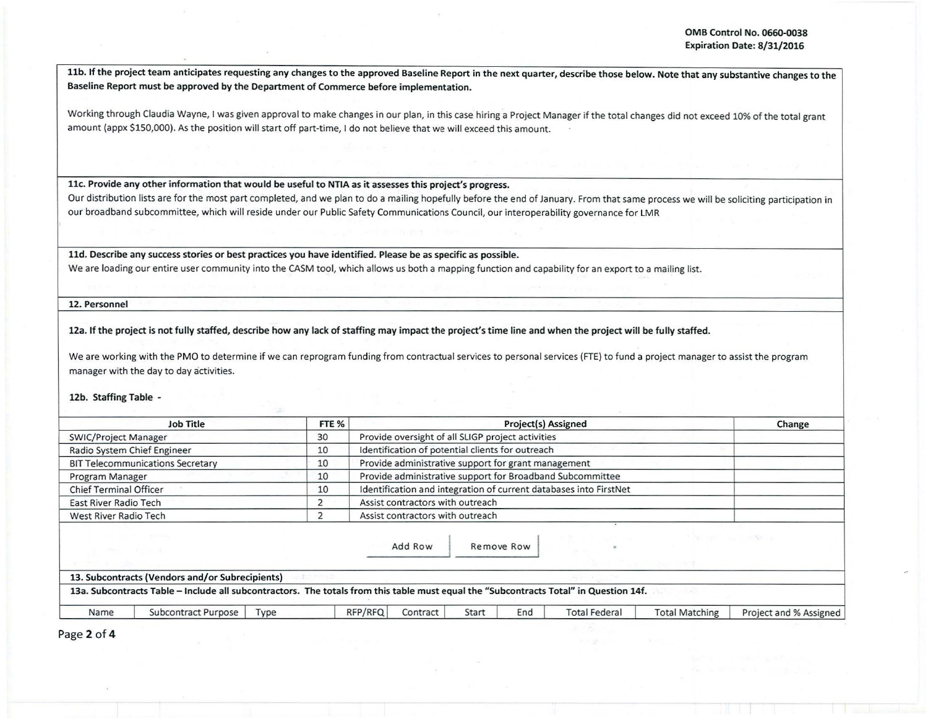I :

11b. If the project team anticipates requesting any changes to the approved Baseline Report in the next quarter, describe those below. Note that any substantive changes to the Baseline Report must be approved by the Department of Commerce before implementation.

Working through Claudia Wayne, I was given approval to make changes in our plan, in this case hiring a Project Manager if the total changes did not exceed 10% of the total grant amount (appx \$150,000). As the position will start off part-time, I do not believe that we will exceed this amount.

llc. Provide any other information that would be useful to NTIA as it assesses this project's progress.

Our distribution lists are for the most part completed, and we plan to do a mailing hopefully before the end of January. From that same process we will be soliciting participation in our broadband subcommittee, which will reside under our Public Safety Communications Council, our interoperability governance for LMR

lld. Describe any success stories or best practices you have identified. Please be as specific as possible.

We are loading our entire user community into the CASM tool, which allows us both a mapping function and capability for an export to a mailing list.

12. Personnel

12a. If the project is not fully staffed, describe how any lack of staffing may impact the project's time line and when the project will be fully staffed.

We are working with the PMO to determine if we can reprogram funding from contractual services to personal services (FTE) to fund a project manager to assist the program manager with the day to day activities.

## 12b. Staffing Table -

|                               | <b>Job Title</b>                                                                                                                      | FTE % |         |                                                     |       | Project(s) Assigned |                                                                   |                       | Change                 |
|-------------------------------|---------------------------------------------------------------------------------------------------------------------------------------|-------|---------|-----------------------------------------------------|-------|---------------------|-------------------------------------------------------------------|-----------------------|------------------------|
|                               | 30<br>Provide oversight of all SLIGP project activities<br><b>SWIC/Project Manager</b>                                                |       |         |                                                     |       |                     |                                                                   |                       |                        |
|                               | Radio System Chief Engineer                                                                                                           | 10    |         | Identification of potential clients for outreach    |       |                     |                                                                   |                       |                        |
|                               | <b>BIT Telecommunications Secretary</b>                                                                                               | 10    |         | Provide administrative support for grant management |       |                     |                                                                   |                       |                        |
| Program Manager               |                                                                                                                                       | 10    |         |                                                     |       |                     | Provide administrative support for Broadband Subcommittee         |                       |                        |
| <b>Chief Terminal Officer</b> |                                                                                                                                       | 10    |         |                                                     |       |                     | Identification and integration of current databases into FirstNet |                       |                        |
| East River Radio Tech         |                                                                                                                                       |       |         | Assist contractors with outreach                    |       |                     |                                                                   |                       |                        |
|                               | Assist contractors with outreach<br>West River Radio Tech                                                                             |       |         |                                                     |       |                     |                                                                   |                       |                        |
|                               |                                                                                                                                       |       |         | Add Row                                             |       | Remove Row          |                                                                   |                       | Service Company        |
|                               | 13. Subcontracts (Vendors and/or Subrecipients)                                                                                       |       |         |                                                     |       |                     |                                                                   |                       |                        |
|                               | 13a. Subcontracts Table - Include all subcontractors. The totals from this table must equal the "Subcontracts Total" in Question 14f. |       |         |                                                     |       |                     |                                                                   |                       |                        |
| Name                          | Subcontract Purpose                                                                                                                   | Type  | RFP/RFQ | Contract                                            | Start | End                 | <b>Total Federal</b>                                              | <b>Total Matching</b> | Project and % Assigned |

Page 2 of 4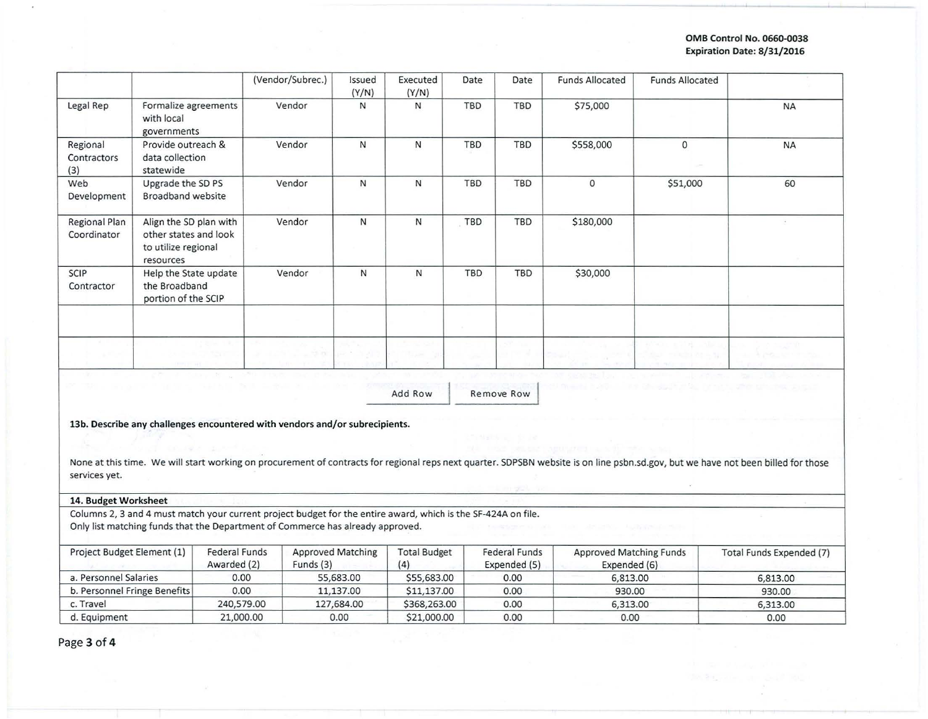## **OMB Control No. 0660-Q038 Expiration Date: 8/31/2016**

|                                |                                                                                     | (Vendor/Subrec.) | Issued<br>(Y/N) | Executed<br>(Y/N) | Date       | Date       | <b>Funds Allocated</b> | <b>Funds Allocated</b> |           |
|--------------------------------|-------------------------------------------------------------------------------------|------------------|-----------------|-------------------|------------|------------|------------------------|------------------------|-----------|
| Legal Rep                      | Formalize agreements<br>with local<br>governments                                   | Vendor           | N               | N                 | TBD        | <b>TBD</b> | \$75,000               |                        | <b>NA</b> |
| Regional<br>Contractors<br>(3) | Provide outreach &<br>data collection<br>statewide                                  | Vendor           | N               | N                 | <b>TBD</b> | <b>TBD</b> | \$558,000              | 0                      | <b>NA</b> |
| Web<br>Development             | Upgrade the SD PS<br>Broadband website                                              | Vendor           | N               | N                 | TBD        | TBD        | $\mathbf{0}$           | \$51,000               | 60        |
| Regional Plan<br>Coordinator   | Align the SD plan with<br>other states and look<br>to utilize regional<br>resources | Vendor           | N               | N                 | <b>TBD</b> | TBD        | \$180,000              |                        |           |
| <b>SCIP</b><br>Contractor      | Help the State update<br>the Broadband<br>portion of the SCIP                       | Vendor           | N               | $\mathsf{N}$      | <b>TBD</b> | TBD        | \$30,000               |                        |           |
|                                |                                                                                     |                  |                 |                   |            |            |                        |                        |           |

Add Row

Remove Row

**13b. Describe any challenges encountered with vendors and/or subrecipients.** 

None at this time. We will start working on procurement of contracts for regional reps next quarter. SDPSBN website is on line psbn.sd.gov, but we have not been billed for those services yet.

## **14. Budget Worksheet**

Columns 2, 3 and 4 must match your current project budget for the entire award, which is the SF-424A on file. Only list matching funds that the Department of Commerce has already approved.

| Project Budget Element (1)   | <b>Federal Funds</b><br>Awarded (2) | <b>Approved Matching</b><br>Funds (3) | <b>Total Budget</b><br>(4) | <b>Federal Funds</b><br>Expended (5) | <b>Approved Matching Funds</b><br>Expended (6) | Total Funds Expended (7) |
|------------------------------|-------------------------------------|---------------------------------------|----------------------------|--------------------------------------|------------------------------------------------|--------------------------|
| a. Personnel Salaries        | 0.00                                | 55,683.00                             | \$55,683.00                | 0.00                                 | 6,813.00                                       | 6,813.00                 |
| b. Personnel Fringe Benefits | 0.00                                | 11,137,00                             | \$11,137.00                | 0.00                                 | 930.00                                         | 930.00                   |
| c. Travel                    | 240,579.00                          | 127,684.00                            | \$368,263.00               | 0.00                                 | 6,313.00                                       | 6,313.00                 |
| d. Equipment                 | 21,000.00                           | 0.00                                  | \$21,000.00                | 0.00                                 | 0.00                                           | 0.00                     |

Page **3 of 4**